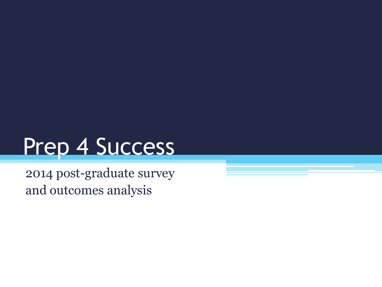## Prep 4 Success

2014 post-graduate survey and outcomes analysis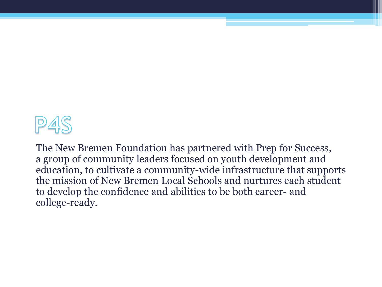

The New Bremen Foundation has partnered with Prep for Success, a group of community leaders focused on youth development and education, to cultivate a community-wide infrastructure that supports the mission of New Bremen Local Schools and nurtures each student to develop the confidence and abilities to be both career- and college-ready.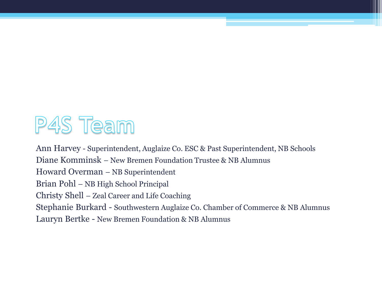## P4S Team

Ann Harvey - Superintendent, Auglaize Co. ESC & Past Superintendent, NB Schools Diane Komminsk – New Bremen Foundation Trustee & NB Alumnus Howard Overman – NB Superintendent Brian Pohl – NB High School Principal Christy Shell – Zeal Career and Life Coaching Stephanie Burkard - Southwestern Auglaize Co. Chamber of Commerce & NB Alumnus Lauryn Bertke - New Bremen Foundation & NB Alumnus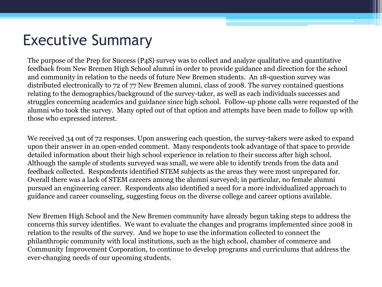#### Executive Summary

The purpose of the Prep for Success (P4S) survey was to collect and analyze qualitative and quantitative feedback from New Bremen High School alumni in order to provide guidance and direction for the school and community in relation to the needs of future New Bremen students. An 18-question survey was distributed electronically to 72 of 77 New Bremen alumni, class of 2008. The survey contained questions relating to the demographics/background of the survey-taker, as well as each individuals successes and struggles concerning academics and guidance since high school. Follow-up phone calls were requested of the alumni who took the survey. Many opted out of that option and attempts have been made to follow up with those who expressed interest.

We received 34 out of 72 responses. Upon answering each question, the survey-takers were asked to expand upon their answer in an open-ended comment. Many respondents took advantage of that space to provide detailed information about their high school experience in relation to their success after high school. Although the sample of students surveyed was small, we were able to identify trends from the data and feedback collected. Respondents identified STEM subjects as the areas they were most unprepared for. Overall there was a lack of STEM careers among the alumni surveyed; in particular, no female alumni pursued an engineering career. Respondents also identified a need for a more individualized approach to guidance and career counseling, suggesting focus on the diverse college and career options available.

New Bremen High School and the New Bremen community have already begun taking steps to address the concerns this survey identifies. We want to evaluate the changes and programs implemented since 2008 in relation to the results of the survey. And we hope to use the information collected to connect the philanthropic community with local institutions, such as the high school, chamber of commerce and Community Improvement Corporation, to continue to develop programs and curriculums that address the ever-changing needs of our upcoming students.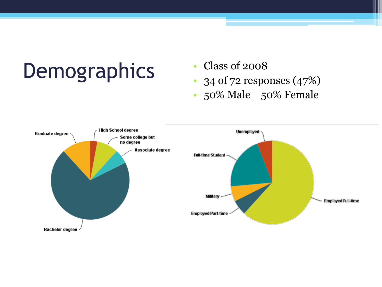## Demographics • Class of 2008

- 
- 34 of 72 responses (47%)
- 50% Male 50% Female

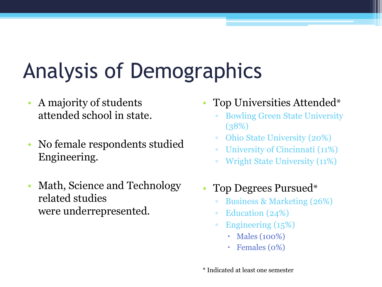## Analysis of Demographics

- A majority of students attended school in state.
- No female respondents studied Engineering.
- Math, Science and Technology related studies were underrepresented.
- Top Universities Attended\*
	- Bowling Green State University (38%)
	- Ohio State University (20%)
	- University of Cincinnati (11%)
	- Wright State University (11%)
- Top Degrees Pursued\*
	- Business & Marketing (26%)
	- Education (24%)
	- Engineering (15%)
		- Males (100%)
		- Females (0%)
- \* Indicated at least one semester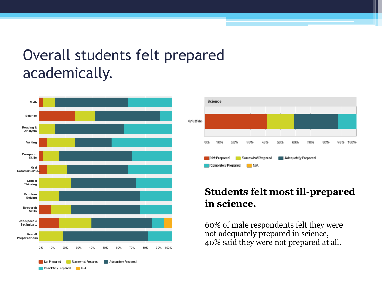#### Overall students felt prepared academically.





#### **Students felt most ill-prepared in science.**

60% of male respondents felt they were not adequately prepared in science, 40% said they were not prepared at all.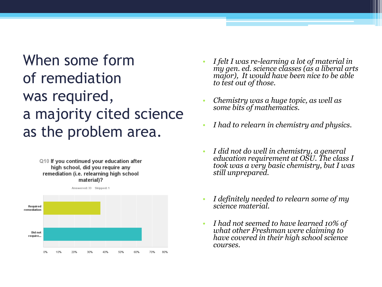When some form of remediation was required, a majority cited science as the problem area.

> Q10 If you continued your education after high school, did you require any remediation (i.e. relearning high school material)?



- *I felt I was re-learning a lot of material in my gen. ed. science classes (as a liberal arts major), It would have been nice to be able to test out of those.*
- *Chemistry was a huge topic, as well as some bits of mathematics.*
- *I had to relearn in chemistry and physics.*
- *I did not do well in chemistry, a general education requirement at OSU. The class I took was a very basic chemistry, but I was still unprepared.*
- *I definitely needed to relearn some of my science material.*
- *I had not seemed to have learned 10% of what other Freshman were claiming to have covered in their high school science courses.*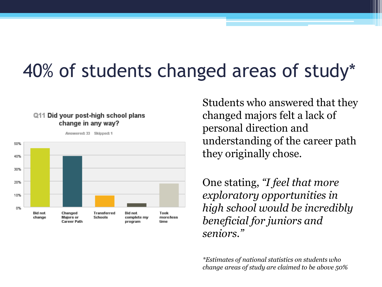### 40% of students changed areas of study\*

#### Q11 Did your post-high school plans change in any way?

Answered: 33 Skipped: 1



Students who answered that they changed majors felt a lack of personal direction and understanding of the career path they originally chose.

One stating, *"I feel that more exploratory opportunities in high school would be incredibly beneficial for juniors and seniors."*

*\*Estimates of national statistics on students who change areas of study are claimed to be above 50%*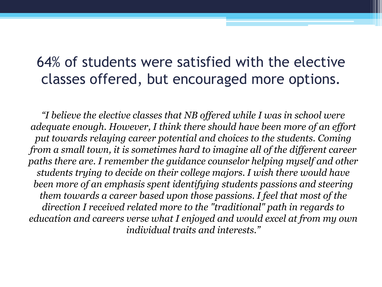#### 64% of students were satisfied with the elective classes offered, but encouraged more options.

*"I believe the elective classes that NB offered while I was in school were adequate enough. However, I think there should have been more of an effort put towards relaying career potential and choices to the students. Coming from a small town, it is sometimes hard to imagine all of the different career paths there are. I remember the guidance counselor helping myself and other students trying to decide on their college majors. I wish there would have been more of an emphasis spent identifying students passions and steering them towards a career based upon those passions. I feel that most of the direction I received related more to the "traditional" path in regards to education and careers verse what I enjoyed and would excel at from my own individual traits and interests."*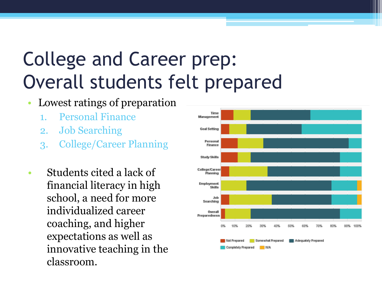## College and Career prep: Overall students felt prepared

- Lowest ratings of preparation
	- 1. Personal Finance
	- 2. Job Searching
	- 3. College/Career Planning
- Students cited a lack of financial literacy in high school, a need for more individualized career coaching, and higher expectations as well as innovative teaching in the classroom.

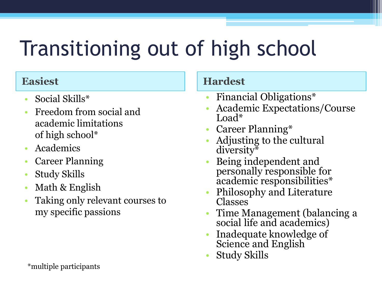## Transitioning out of high school

- Social Skills\*
- Freedom from social and academic limitations of high school\*
- Academics
- Career Planning
- Study Skills
- Math & English
- Taking only relevant courses to my specific passions

#### **Easiest Hardest**

- Financial Obligations\*
- Academic Expectations/Course Load\*
- Career Planning\*
- Adjusting to the cultural diversity\*
- Being independent and personally responsible for academic responsibilities\*
- Philosophy and Literature Classes
- Time Management (balancing a social life and academics)
- Inadequate knowledge of Science and English
- Study Skills

\*multiple participants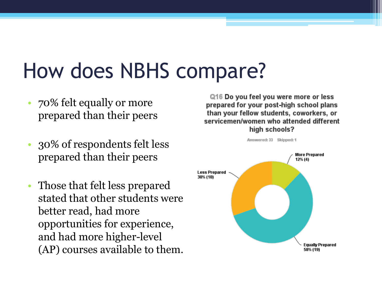## How does NBHS compare?

- 70% felt equally or more prepared than their peers
- 30% of respondents felt less prepared than their peers
- Those that felt less prepared stated that other students were better read, had more opportunities for experience, and had more higher-level (AP) courses available to them.

Q16 Do you feel you were more or less prepared for your post-high school plans than your fellow students, coworkers, or servicemen/women who attended different high schools?

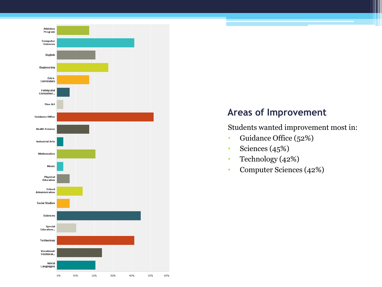

#### **Areas of Improvement**

Students wanted improvement most in:

- Guidance Office (52%)
- Sciences  $(45%)$
- Technology (42%)
- Computer Sciences (42%)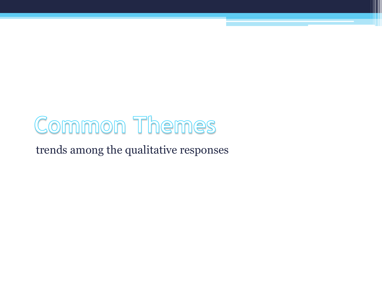## **Common Themes**

trends among the qualitative responses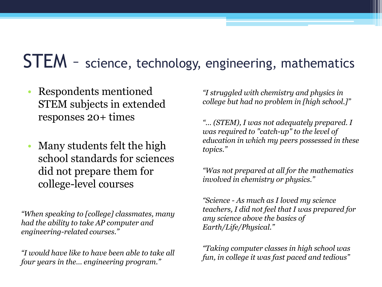### STEM – science, technology, engineering, mathematics

- Respondents mentioned STEM subjects in extended responses 20+ times
- Many students felt the high school standards for sciences did not prepare them for college-level courses

*"When speaking to [college] classmates, many had the ability to take AP computer and engineering-related courses."*

*"I would have like to have been able to take all four years in the… engineering program."*

*"I struggled with chemistry and physics in college but had no problem in [high school.]"*

*"… (STEM), I was not adequately prepared. I was required to "catch-up" to the level of education in which my peers possessed in these topics."*

*"Was not prepared at all for the mathematics involved in chemistry or physics."*

*"Science - As much as I loved my science teachers, I did not feel that I was prepared for any science above the basics of Earth/Life/Physical."*

*"Taking computer classes in high school was fun, in college it was fast paced and tedious"*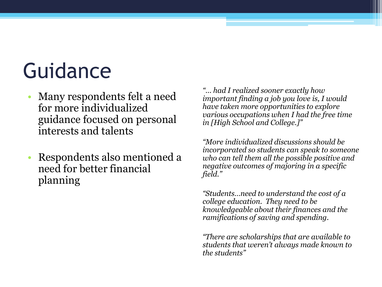## Guidance

- Many respondents felt a need for more individualized guidance focused on personal interests and talents
- Respondents also mentioned a need for better financial planning

*"… had I realized sooner exactly how important finding a job you love is, I would have taken more opportunities to explore various occupations when I had the free time in [High School and College.]"*

*"More individualized discussions should be incorporated so students can speak to someone who can tell them all the possible positive and negative outcomes of majoring in a specific field."*

*"Students…need to understand the cost of a college education. They need to be knowledgeable about their finances and the ramifications of saving and spending.*

*"There are scholarships that are available to students that weren't always made known to the students"*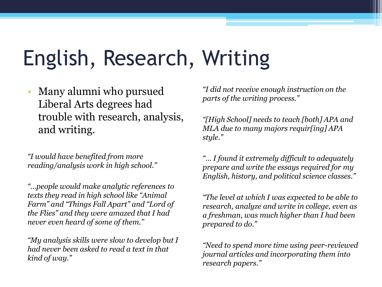## English, Research, Writing

• Many alumni who pursued Liberal Arts degrees had trouble with research, analysis, and writing.

*"I would have benefited from more reading/analysis work in high school."*

*"…people would make analytic references to texts they read in high school like "Animal Farm" and "Things Fall Apart" and "Lord of the Flies" and they were amazed that I had never even heard of some of them."*

*"My analysis skills were slow to develop but I had never been asked to read a text in that kind of way."*

*"I did not receive enough instruction on the parts of the writing process."*

*"[High School] needs to teach [both] APA and MLA due to many majors requir[ing] APA style."*

*"… I found it extremely difficult to adequately prepare and write the essays required for my English, history, and political science classes."*

*"The level at which I was expected to be able to research, analyze and write in college, even as a freshman, was much higher than I had been prepared to do."*

*"Need to spend more time using peer-reviewed journal articles and incorporating them into research papers."*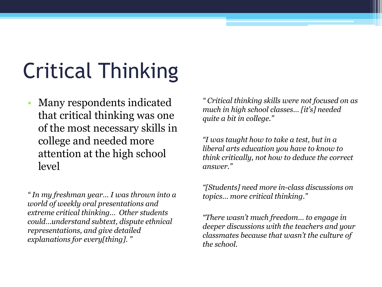# Critical Thinking

• Many respondents indicated that critical thinking was one of the most necessary skills in college and needed more attention at the high school level

*" In my freshman year… I was thrown into a world of weekly oral presentations and extreme critical thinking… Other students could…understand subtext, dispute ethnical representations, and give detailed explanations for every[thing]. "*

*" Critical thinking skills were not focused on as much in high school classes… [it's] needed quite a bit in college."*

*"I was taught how to take a test, but in a liberal arts education you have to know to think critically, not how to deduce the correct answer."*

*"[Students] need more in-class discussions on topics… more critical thinking."*

*"There wasn't much freedom… to engage in deeper discussions with the teachers and your classmates because that wasn't the culture of the school.*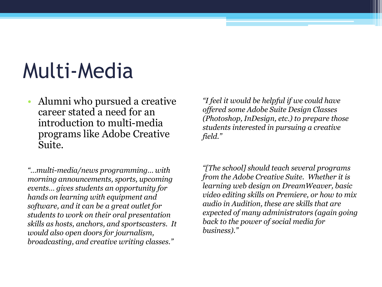## Multi-Media

• Alumni who pursued a creative career stated a need for an introduction to multi-media programs like Adobe Creative Suite.

*"…multi-media/news programming… with morning announcements, sports, upcoming events… gives students an opportunity for hands on learning with equipment and software, and it can be a great outlet for students to work on their oral presentation skills as hosts, anchors, and sportscasters. It would also open doors for journalism, broadcasting, and creative writing classes."*

*"I feel it would be helpful if we could have offered some Adobe Suite Design Classes (Photoshop, InDesign, etc.) to prepare those students interested in pursuing a creative field."*

*"[The school] should teach several programs from the Adobe Creative Suite. Whether it is learning web design on DreamWeaver, basic video editing skills on Premiere, or how to mix audio in Audition, these are skills that are expected of many administrators (again going back to the power of social media for business)."*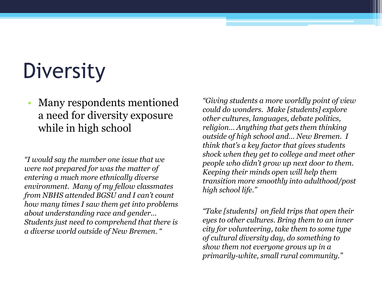## **Diversity**

#### • Many respondents mentioned a need for diversity exposure while in high school

*"I would say the number one issue that we were not prepared for was the matter of entering a much more ethnically diverse environment. Many of my fellow classmates from NBHS attended BGSU and I can't count how many times I saw them get into problems about understanding race and gender… Students just need to comprehend that there is a diverse world outside of New Bremen. "*

*"Giving students a more worldly point of view could do wonders. Make [students] explore other cultures, languages, debate politics, religion… Anything that gets them thinking outside of high school and… New Bremen. I think that's a key factor that gives students shock when they get to college and meet other people who didn't grow up next door to them. Keeping their minds open will help them transition more smoothly into adulthood/post high school life."*

*"Take [students] on field trips that open their eyes to other cultures. Bring them to an inner city for volunteering, take them to some type of cultural diversity day, do something to show them not everyone grows up in a primarily-white, small rural community."*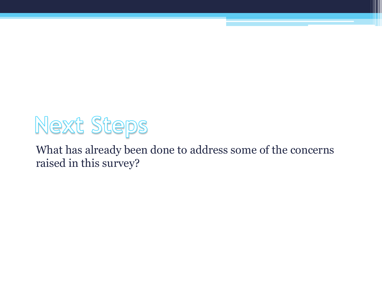## **Next Steps**

What has already been done to address some of the concerns raised in this survey?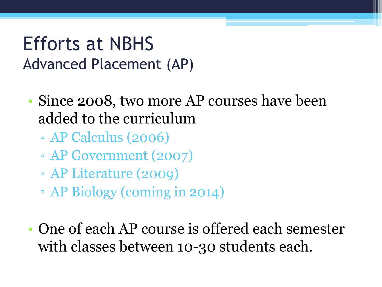#### Efforts at NBHS Advanced Placement (AP)

- Since 2008, two more AP courses have been added to the curriculum
	- AP Calculus (2006)
	- AP Government (2007)
	- AP Literature (2009)
	- AP Biology (coming in 2014)
- One of each AP course is offered each semester with classes between 10-30 students each.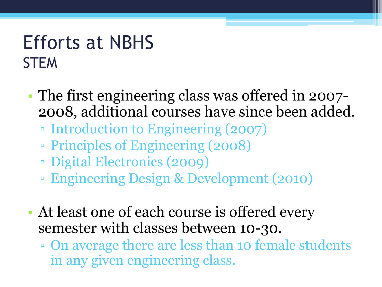#### Efforts at NBHS **STEM**

- The first engineering class was offered in 2007– 2008, additional courses have since been added.
	- Introduction to Engineering (2007)
	- Principles of Engineering (2008)
	- Digital Electronics (2009)
	- Engineering Design & Development (2010)
- At least one of each course is offered every semester with classes between 10-30.
	- On average there are less than 10 female students in any given engineering class.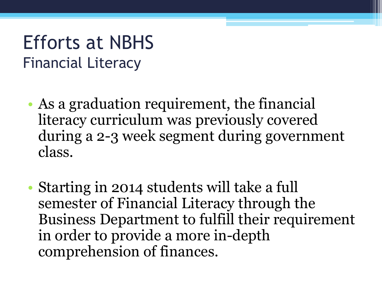### Efforts at NBHS Financial Literacy

- As a graduation requirement, the financial literacy curriculum was previously covered during a 2-3 week segment during government class.
- Starting in 2014 students will take a full semester of Financial Literacy through the Business Department to fulfill their requirement in order to provide a more in-depth comprehension of finances.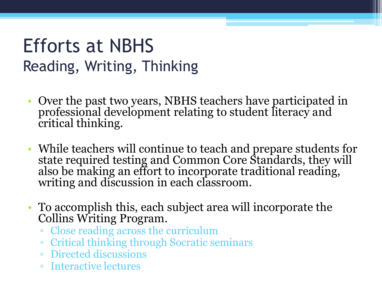### Efforts at NBHS Reading, Writing, Thinking

- Over the past two years, NBHS teachers have participated in professional development relating to student literacy and critical thinking.
- While teachers will continue to teach and prepare students for state required testing and Common Core Standards, they will also be making an effort to incorporate traditional reading, writing and discussion in each classroom.
- To accomplish this, each subject area will incorporate the Collins Writing Program.
	- Close reading across the curriculum
	- Critical thinking through Socratic seminars
	- Directed discussions
	- Interactive lectures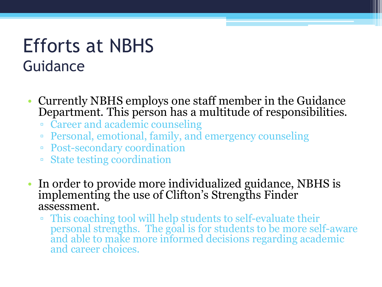### Efforts at NBHS Guidance

- Currently NBHS employs one staff member in the Guidance Department. This person has a multitude of responsibilities.
	- Career and academic counseling
	- Personal, emotional, family, and emergency counseling
	- Post-secondary coordination
	- State testing coordination
- In order to provide more individualized guidance, NBHS is implementing the use of Clifton's Strengths Finder assessment.
	- This coaching tool will help students to self-evaluate their personal strengths. The goal is for students to be more self-aware and able to make more informed decisions regarding academic and career choices.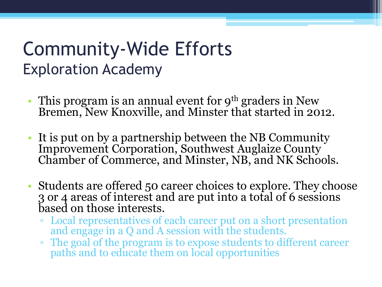#### Community-Wide Efforts Exploration Academy

- This program is an annual event for  $9<sup>th</sup>$  graders in New Bremen, New Knoxville, and Minster that started in 2012.
- It is put on by a partnership between the NB Community Improvement Corporation, Southwest Auglaize County Chamber of Commerce, and Minster, NB, and NK Schools.
- Students are offered 50 career choices to explore. They choose 3 or 4 areas of interest and are put into a total of 6 sessions based on those interests.
	- Local representatives of each career put on a short presentation and engage in a Q and A session with the students.
	- The goal of the program is to expose students to different career paths and to educate them on local opportunities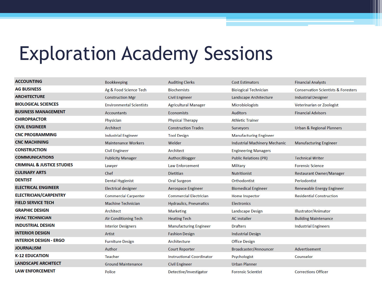### Exploration Academy Sessions

| Bookkeeping                     | <b>Auditing Clerks</b>           | <b>Cost Estimators</b>        | <b>Financial Analysts</b>                      |
|---------------------------------|----------------------------------|-------------------------------|------------------------------------------------|
| Ag & Food Science Tech          | <b>Biochemists</b>               | <b>Biological Technician</b>  | <b>Conservation Scientists &amp; Foresters</b> |
| <b>Construction Mgr</b>         | <b>Civil Engineer</b>            | Landscape Architecture        | <b>Industrial Designer</b>                     |
| <b>Environmental Scientists</b> | <b>Agricultural Manager</b>      | <b>Microbiologists</b>        | Veterinarian or Zoologist                      |
| <b>Accountants</b>              | <b>Economists</b>                | <b>Auditors</b>               | <b>Financial Advisors</b>                      |
| Physician                       | <b>Physical Therapy</b>          | <b>Athletic Trainer</b>       |                                                |
| Architect                       | <b>Construction Trades</b>       | <b>Surveyors</b>              | <b>Urban &amp; Regional Planners</b>           |
| <b>Industrial Engineer</b>      | <b>Tool Design</b>               | <b>Manufacturing Engineer</b> |                                                |
| <b>Maintenance Workers</b>      | Welder                           | Industrial Machinery Mechanic | <b>Manufacturing Engineer</b>                  |
| <b>Civil Engineer</b>           | Architect                        | <b>Engineering Managers</b>   |                                                |
| <b>Publicity Manager</b>        | Author/Blogger                   | <b>Public Relations (PR)</b>  | <b>Technical Writer</b>                        |
| Lawyer                          | Law Enforcement                  | Military                      | <b>Forensic Science</b>                        |
| Chef                            | Dietitian                        | <b>Nutritionist</b>           | <b>Restaurant Owner/Manager</b>                |
| <b>Dental Hygienist</b>         | <b>Oral Surgeon</b>              | Orthodontist                  | Periodontist                                   |
| <b>Electrical designer</b>      | <b>Aerospace Engineer</b>        | <b>Biomedical Engineer</b>    | Renewable Energy Engineer                      |
| <b>Commercial Carpenter</b>     | <b>Commercial Electrician</b>    | Home Inspector                | <b>Residential Construction</b>                |
| <b>Machine Technician</b>       | <b>Hydraulics, Pneumatics</b>    | <b>Electronics</b>            |                                                |
| Architect                       | <b>Marketing</b>                 | Landscape Design              | Illustrator/Animator                           |
| <b>Air Conditioning Tech</b>    | <b>Heating Tech</b>              | <b>AC</b> installer           | <b>Building Maintenance</b>                    |
| <b>Interior Designers</b>       | <b>Manufacturing Engineer</b>    | <b>Drafters</b>               | <b>Industrial Engineers</b>                    |
| Artist                          | <b>Fashion Design</b>            | <b>Industrial Design</b>      |                                                |
| <b>Furniture Design</b>         | Architecture                     | <b>Office Design</b>          |                                                |
| Author                          | <b>Court Reporter</b>            | Broadcaster/Announcer         | Advertisement                                  |
| Teacher                         | <b>Instructional Coordinator</b> | Psychologist                  | Counselor                                      |
| <b>Ground Maintenance</b>       | <b>Civil Engineer</b>            | <b>Urban Planner</b>          |                                                |
|                                 |                                  |                               |                                                |
|                                 |                                  |                               |                                                |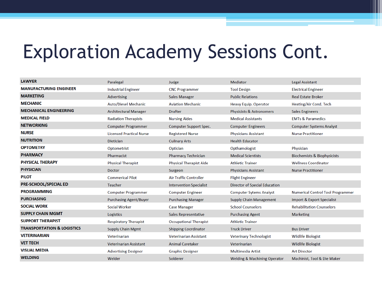### Exploration Academy Sessions Cont.

| <b>LAWYER</b>                         | Paralegal                       | Judge                          | Mediator                                | <b>Legal Assistant</b>                   |
|---------------------------------------|---------------------------------|--------------------------------|-----------------------------------------|------------------------------------------|
| <b>MANUFACTURING ENGINEER</b>         | <b>Industrial Engineer</b>      | <b>CNC Programmer</b>          | <b>Tool Design</b>                      | <b>Electrical Engineer</b>               |
| <b>MARKETING</b>                      | Advertising                     | <b>Sales Manager</b>           | <b>Public Relations</b>                 | <b>Real Estate Broker</b>                |
| <b>MECHANIC</b>                       | <b>Auto/Diesel Mechanic</b>     | <b>Aviation Mechanic</b>       | Heavy Equip. Operator                   | Heating/Air Cond. Tech                   |
| <b>MECHANICAL ENGINEERING</b>         | <b>Architectural Manager</b>    | <b>Drafter</b>                 | <b>Physicists &amp; Astronomers</b>     | <b>Sales Engineers</b>                   |
| <b>MEDICAL FIELD</b>                  | <b>Radiation Therapists</b>     | <b>Nursing Aides</b>           | <b>Medical Assistants</b>               | <b>EMTs &amp; Paramedics</b>             |
| <b>NETWORKING</b>                     | <b>Computer Programmer</b>      | Computer Support Spec.         | <b>Computer Engineers</b>               | <b>Computer Systems Analyst</b>          |
| <b>NURSE</b>                          | <b>Licensed Practical Nurse</b> | <b>Registered Nurse</b>        | <b>Physicians Assistant</b>             | <b>Nurse Practitioner</b>                |
| <b>NUTRITION</b>                      | <b>Dietician</b>                | <b>Culinary Arts</b>           | <b>Health Educator</b>                  |                                          |
| <b>OPTOMETRY</b>                      | Optometrist                     | Optician                       | Opthamologist                           | Physician                                |
| <b>PHARMACY</b>                       | Pharmacist                      | <b>Pharmacy Technician</b>     | <b>Medical Scientists</b>               | <b>Biochemists &amp; Biophysicists</b>   |
| <b>PHYSICAL THERAPY</b>               | <b>Physical Therapist</b>       | <b>Physical Therapist Aide</b> | <b>Athletic Trainer</b>                 | <b>Wellness Coordinator</b>              |
| <b>PHYSICIAN</b>                      | <b>Doctor</b>                   | Surgeon                        | <b>Physicians Assistant</b>             | <b>Nurse Practitioner</b>                |
| <b>PILOT</b>                          | <b>Commerical Pilot</b>         | <b>Air Traffic Controller</b>  | <b>Flight Engineer</b>                  |                                          |
| <b>PRE-SCHOOL/SPECIAL ED</b>          | Teacher                         | <b>Intervention Specialist</b> | <b>Director of Special Education</b>    |                                          |
| <b>PROGRAMMING</b>                    | <b>Computer Programmer</b>      | <b>Computer Engineer</b>       | <b>Computer Sytems Analyst</b>          | <b>Numerical Control Tool Programmer</b> |
| <b>PURCHASING</b>                     | <b>Purchasing Agent/Buyer</b>   | <b>Purchasing Manager</b>      | <b>Supply Chain Management</b>          | Import & Export Specialist               |
| <b>SOCIAL WORK</b>                    | <b>Social Worker</b>            | <b>Case Manager</b>            | <b>School Counselors</b>                | <b>Rehabilitation Counselors</b>         |
| <b>SUPPLY CHAIN MGMT</b>              | Logistics                       | <b>Sales Representative</b>    | <b>Purchasing Agent</b>                 | <b>Marketing</b>                         |
| <b>SUPPORT THERAPIST</b>              | <b>Respiratory Therapist</b>    | <b>Occupational Therapist</b>  | <b>Athletic Trainer</b>                 |                                          |
| <b>TRANSPORTATION &amp; LOGISTICS</b> | <b>Supply Chain Mgmt</b>        | <b>Shipping Coordinator</b>    | <b>Truck Driver</b>                     | <b>Bus Driver</b>                        |
| <b>VETERINARIAN</b>                   | Veterinarian                    | <b>Veterinarian Assistant</b>  | <b>Veterinary Technologist</b>          | <b>Wildlife Biologist</b>                |
| <b>VET TECH</b>                       | <b>Veterinarian Assistant</b>   | <b>Animal Caretaker</b>        | Veterinarian                            | <b>Wildlife Biologist</b>                |
| <b>VISUAL MEDIA</b>                   | <b>Advertising Designer</b>     | <b>Graphic Designer</b>        | <b>Multimedia Artist</b>                | <b>Art Director</b>                      |
| <b>WELDING</b>                        | Welder                          | Solderer                       | <b>Welding &amp; Machining Operator</b> | Machinist, Tool & Die Maker              |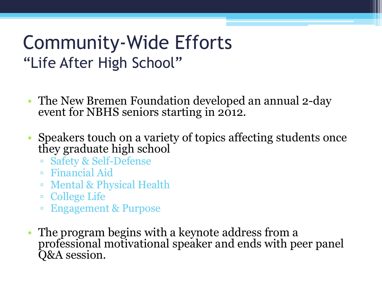### Community-Wide Efforts "Life After High School"

- The New Bremen Foundation developed an annual 2-day event for NBHS seniors starting in 2012.
- Speakers touch on a variety of topics affecting students once they graduate high school
	- Safety & Self-Defense
	- Financial Aid
	- Mental & Physical Health
	- College Life
	- Engagement & Purpose
- The program begins with a keynote address from a professional motivational speaker and ends with peer panel Q&A session.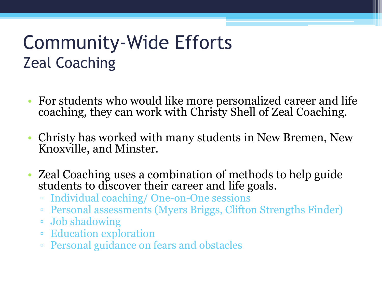### Community-Wide Efforts Zeal Coaching

- For students who would like more personalized career and life coaching, they can work with Christy Shell of Zeal Coaching.
- Christy has worked with many students in New Bremen, New Knoxville, and Minster.
- Zeal Coaching uses a combination of methods to help guide students to discover their career and life goals.
	- Individual coaching/ One-on-One sessions
	- Personal assessments (Myers Briggs, Clifton Strengths Finder)
	- Job shadowing
	- Education exploration
	- Personal guidance on fears and obstacles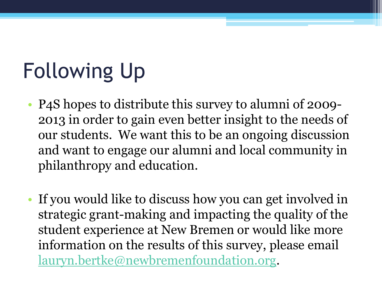## Following Up

- P4S hopes to distribute this survey to alumni of 2009- 2013 in order to gain even better insight to the needs of our students. We want this to be an ongoing discussion and want to engage our alumni and local community in philanthropy and education.
- If you would like to discuss how you can get involved in strategic grant-making and impacting the quality of the student experience at New Bremen or would like more information on the results of this survey, please email [lauryn.bertke@newbremenfoundation.org.](mailto:lauryn.bertke@newbremenfoundation.org)